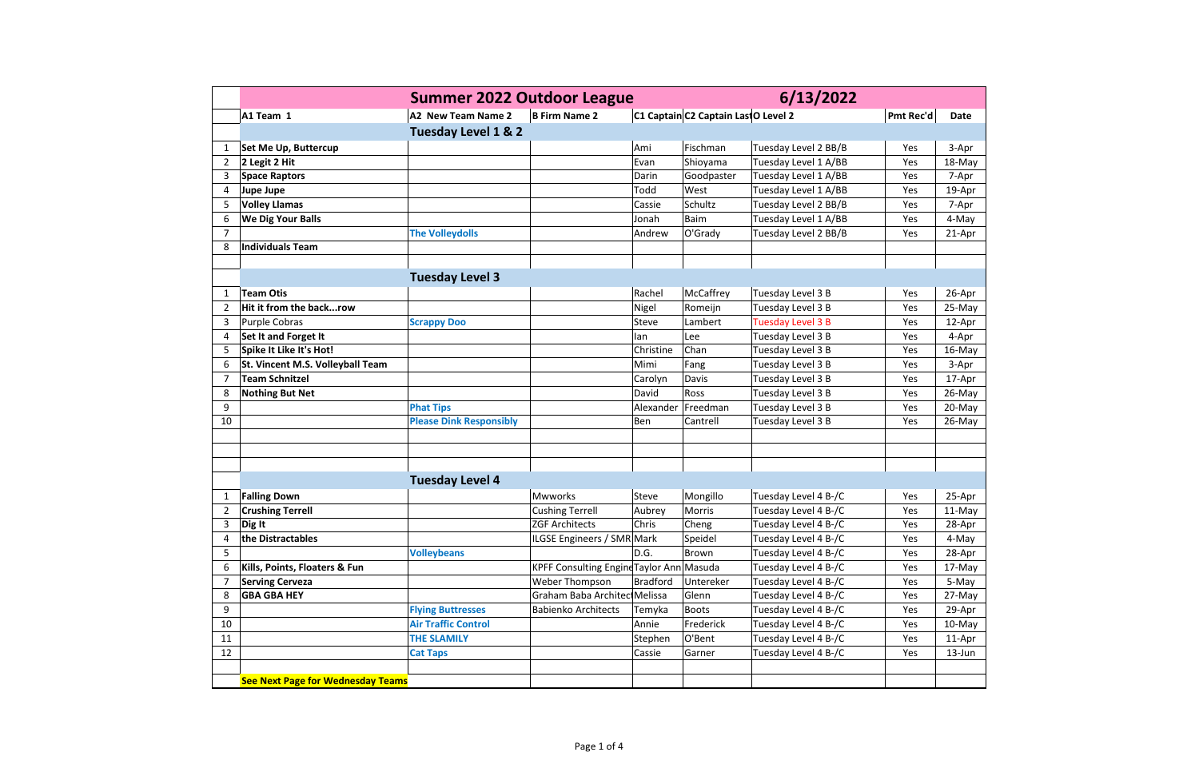|                |                                          | <b>Summer 2022 Outdoor League</b> |                                          |                 |                                     | 6/13/2022            |                  |             |
|----------------|------------------------------------------|-----------------------------------|------------------------------------------|-----------------|-------------------------------------|----------------------|------------------|-------------|
|                | A1 Team 1                                | A2 New Team Name 2                | <b>B Firm Name 2</b>                     |                 | C1 Captain C2 Captain Las O Level 2 |                      | <b>Pmt Rec'd</b> | <b>Date</b> |
|                |                                          | Tuesday Level 1 & 2               |                                          |                 |                                     |                      |                  |             |
| 1              | Set Me Up, Buttercup                     |                                   |                                          | Ami             | Fischman                            | Tuesday Level 2 BB/B | Yes              | 3-Apr       |
| $\overline{2}$ | 2 Legit 2 Hit                            |                                   |                                          | Evan            | Shioyama                            | Tuesday Level 1 A/BB | Yes              | 18-May      |
| 3              | <b>Space Raptors</b>                     |                                   |                                          | Darin           | Goodpaster                          | Tuesday Level 1 A/BB | Yes              | 7-Apr       |
| 4              | <b>Jupe Jupe</b>                         |                                   |                                          | Todd            | West                                | Tuesday Level 1 A/BB | Yes              | 19-Apr      |
| 5              | <b>Volley Llamas</b>                     |                                   |                                          | Cassie          | Schultz                             | Tuesday Level 2 BB/B | Yes              | 7-Apr       |
| 6              | <b>We Dig Your Balls</b>                 |                                   |                                          | Jonah           | <b>Baim</b>                         | Tuesday Level 1 A/BB | Yes              | 4-May       |
| $\overline{7}$ |                                          | <b>The Volleydolls</b>            |                                          | Andrew          | O'Grady                             | Tuesday Level 2 BB/B | Yes              | 21-Apr      |
| 8              | <b>Individuals Team</b>                  |                                   |                                          |                 |                                     |                      |                  |             |
|                |                                          |                                   |                                          |                 |                                     |                      |                  |             |
|                |                                          | <b>Tuesday Level 3</b>            |                                          |                 |                                     |                      |                  |             |
| 1              | <b>Team Otis</b>                         |                                   |                                          | Rachel          | McCaffrey                           | Tuesday Level 3 B    | Yes              | 26-Apr      |
| $\overline{2}$ | Hit it from the backrow                  |                                   |                                          | Nigel           | Romeijn                             | Tuesday Level 3 B    | Yes              | 25-May      |
| 3              | Purple Cobras                            | <b>Scrappy Doo</b>                |                                          | Steve           | Lambert                             | Tuesday Level 3 B    | Yes              | 12-Apr      |
| 4              | Set It and Forget It                     |                                   |                                          | lan             | Lee                                 | Tuesday Level 3 B    | Yes              | 4-Apr       |
| 5              | Spike It Like It's Hot!                  |                                   |                                          | Christine       | Chan                                | Tuesday Level 3 B    | Yes              | 16-May      |
| 6              | St. Vincent M.S. Volleyball Team         |                                   |                                          | Mimi            | Fang                                | Tuesday Level 3 B    | Yes              | 3-Apr       |
| $\overline{7}$ | <b>Team Schnitzel</b>                    |                                   |                                          | Carolyn         | Davis                               | Tuesday Level 3 B    | Yes              | 17-Apr      |
| 8              | <b>Nothing But Net</b>                   |                                   |                                          | David           | Ross                                | Tuesday Level 3 B    | Yes              | 26-May      |
| 9              |                                          | <b>Phat Tips</b>                  |                                          | Alexander       | Freedman                            | Tuesday Level 3 B    | Yes              | 20-May      |
| 10             |                                          | <b>Please Dink Responsibly</b>    |                                          | Ben             | Cantrell                            | Tuesday Level 3 B    | Yes              | 26-May      |
|                |                                          |                                   |                                          |                 |                                     |                      |                  |             |
|                |                                          |                                   |                                          |                 |                                     |                      |                  |             |
|                |                                          |                                   |                                          |                 |                                     |                      |                  |             |
|                |                                          | <b>Tuesday Level 4</b>            |                                          |                 |                                     |                      |                  |             |
| 1              | <b>Falling Down</b>                      |                                   | <b>Mwworks</b>                           | Steve           | Mongillo                            | Tuesday Level 4 B-/C | Yes              | 25-Apr      |
| 2              | <b>Crushing Terrell</b>                  |                                   | <b>Cushing Terrell</b>                   | Aubrey          | Morris                              | Tuesday Level 4 B-/C | Yes              | 11-May      |
| 3              | Dig It                                   |                                   | <b>ZGF Architects</b>                    | Chris           | Cheng                               | Tuesday Level 4 B-/C | Yes              | 28-Apr      |
| 4              | the Distractables                        |                                   | ILGSE Engineers / SMR Mark               |                 | Speidel                             | Tuesday Level 4 B-/C | Yes              | 4-May       |
| 5              |                                          | <b>Volleybeans</b>                |                                          | D.G.            | <b>Brown</b>                        | Tuesday Level 4 B-/C | Yes              | 28-Apr      |
| 6              | Kills, Points, Floaters & Fun            |                                   | KPFF Consulting Engine Taylor Ann Masuda |                 |                                     | Tuesday Level 4 B-/C | Yes              | 17-May      |
| 7              | <b>Serving Cerveza</b>                   |                                   | Weber Thompson                           | <b>Bradford</b> | Untereker                           | Tuesday Level 4 B-/C | Yes              | 5-May       |
| 8              | <b>GBA GBA HEY</b>                       |                                   | Graham Baba Architec Melissa             |                 | Glenn                               | Tuesday Level 4 B-/C | Yes              | 27-May      |
| 9              |                                          | <b>Flying Buttresses</b>          | <b>Babienko Architects</b>               | Temyka          | <b>Boots</b>                        | Tuesday Level 4 B-/C | Yes              | 29-Apr      |
| 10             |                                          | <b>Air Traffic Control</b>        |                                          | Annie           | Frederick                           | Tuesday Level 4 B-/C | Yes              | 10-May      |
| 11             |                                          | <b>THE SLAMILY</b>                |                                          | Stephen         | O'Bent                              | Tuesday Level 4 B-/C | Yes              | 11-Apr      |
| 12             |                                          | <b>Cat Taps</b>                   |                                          | Cassie          | Garner                              | Tuesday Level 4 B-/C | Yes              | $13$ -Jun   |
|                |                                          |                                   |                                          |                 |                                     |                      |                  |             |
|                | <b>See Next Page for Wednesday Teams</b> |                                   |                                          |                 |                                     |                      |                  |             |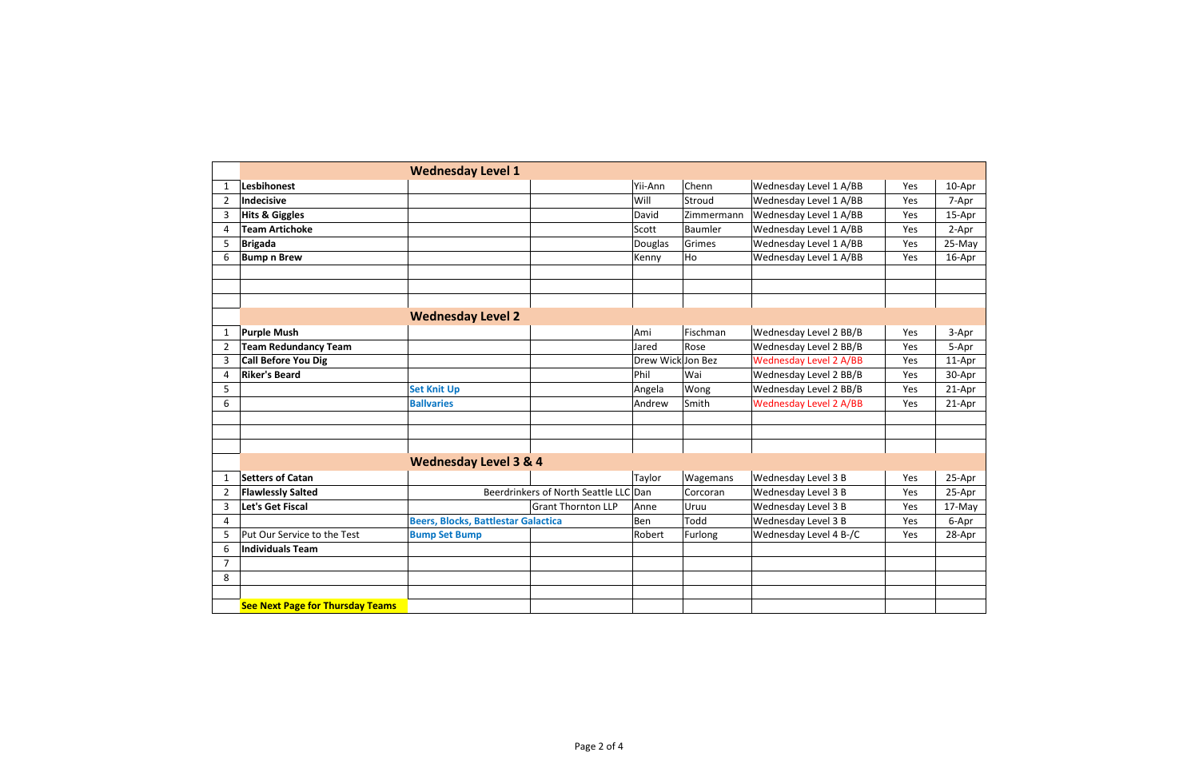|                |                                         | <b>Wednesday Level 1</b>                   |                                       |                   |            |                               |     |        |
|----------------|-----------------------------------------|--------------------------------------------|---------------------------------------|-------------------|------------|-------------------------------|-----|--------|
| 1              | <b>Lesbihonest</b>                      |                                            |                                       | Yii-Ann           | Chenn      | Wednesday Level 1 A/BB        | Yes | 10-Apr |
| $\overline{2}$ | Indecisive                              |                                            |                                       | Will              | Stroud     | Wednesday Level 1 A/BB        | Yes | 7-Apr  |
| 3              | <b>Hits &amp; Giggles</b>               |                                            |                                       | David             | Zimmermann | Wednesday Level 1 A/BB        | Yes | 15-Apr |
| 4              | <b>Team Artichoke</b>                   |                                            |                                       | Scott             | Baumler    | Wednesday Level 1 A/BB        | Yes | 2-Apr  |
| 5              | <b>Brigada</b>                          |                                            |                                       | Douglas           | Grimes     | Wednesday Level 1 A/BB        | Yes | 25-May |
| 6              | <b>Bump n Brew</b>                      |                                            |                                       | Kenny             | Ho         | Wednesday Level 1 A/BB        | Yes | 16-Apr |
|                |                                         |                                            |                                       |                   |            |                               |     |        |
|                |                                         |                                            |                                       |                   |            |                               |     |        |
|                |                                         |                                            |                                       |                   |            |                               |     |        |
|                |                                         | <b>Wednesday Level 2</b>                   |                                       |                   |            |                               |     |        |
| 1              | <b>Purple Mush</b>                      |                                            |                                       | Ami               | Fischman   | Wednesday Level 2 BB/B        | Yes | 3-Apr  |
| $\overline{2}$ | <b>Team Redundancy Team</b>             |                                            |                                       | Jared             | Rose       | Wednesday Level 2 BB/B        | Yes | 5-Apr  |
| 3              | <b>Call Before You Dig</b>              |                                            |                                       | Drew Wick Jon Bez |            | <b>Wednesday Level 2 A/BB</b> | Yes | 11-Apr |
| 4              | <b>Riker's Beard</b>                    |                                            |                                       | Phil              | Wai        | Wednesday Level 2 BB/B        | Yes | 30-Apr |
| 5              |                                         | <b>Set Knit Up</b>                         |                                       | Angela            | Wong       | Wednesday Level 2 BB/B        | Yes | 21-Apr |
| 6              |                                         | <b>Ballvaries</b>                          |                                       | Andrew            | Smith      | <b>Wednesday Level 2 A/BB</b> | Yes | 21-Apr |
|                |                                         |                                            |                                       |                   |            |                               |     |        |
|                |                                         |                                            |                                       |                   |            |                               |     |        |
|                |                                         |                                            |                                       |                   |            |                               |     |        |
|                |                                         | <b>Wednesday Level 3 &amp; 4</b>           |                                       |                   |            |                               |     |        |
| 1              | <b>Setters of Catan</b>                 |                                            |                                       | Taylor            | Wagemans   | Wednesday Level 3 B           | Yes | 25-Apr |
| $\overline{2}$ | <b>Flawlessly Salted</b>                |                                            | Beerdrinkers of North Seattle LLC Dan |                   | Corcoran   | Wednesday Level 3 B           | Yes | 25-Apr |
| 3              | Let's Get Fiscal                        |                                            | <b>Grant Thornton LLP</b>             | Anne              | Uruu       | Wednesday Level 3 B           | Yes | 17-May |
| 4              |                                         | <b>Beers, Blocks, Battlestar Galactica</b> |                                       | Ben               | Todd       | Wednesday Level 3 B           | Yes | 6-Apr  |
| 5              | Put Our Service to the Test             | <b>Bump Set Bump</b>                       |                                       | Robert            | Furlong    | Wednesday Level 4 B-/C        | Yes | 28-Apr |
| 6              | <b>Individuals Team</b>                 |                                            |                                       |                   |            |                               |     |        |
| $\overline{7}$ |                                         |                                            |                                       |                   |            |                               |     |        |
| 8              |                                         |                                            |                                       |                   |            |                               |     |        |
|                |                                         |                                            |                                       |                   |            |                               |     |        |
|                | <b>See Next Page for Thursday Teams</b> |                                            |                                       |                   |            |                               |     |        |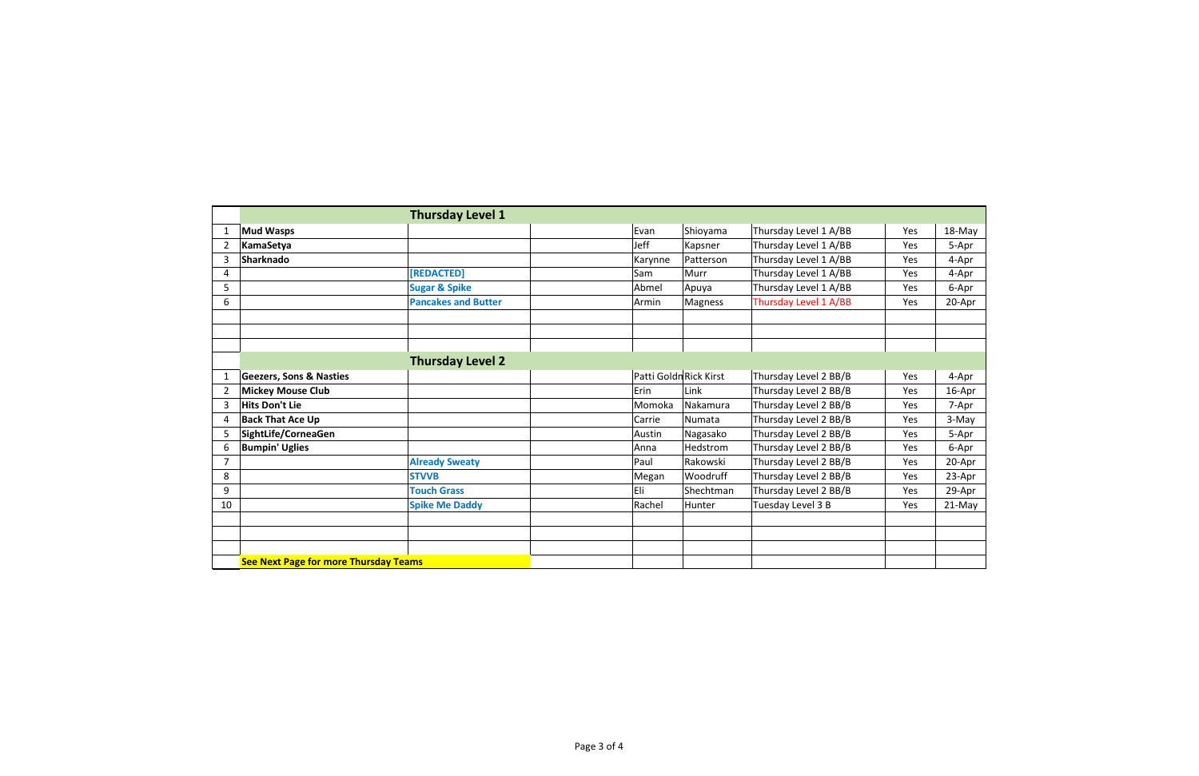|                |                                              | <b>Thursday Level 1</b>    |                        |           |                       |            |        |
|----------------|----------------------------------------------|----------------------------|------------------------|-----------|-----------------------|------------|--------|
| $\mathbf{1}$   | <b>Mud Wasps</b>                             |                            | Evan                   | Shioyama  | Thursday Level 1 A/BB | Yes        | 18-May |
| $\overline{2}$ | KamaSetya                                    |                            | Jeff                   | Kapsner   | Thursday Level 1 A/BB | Yes        | 5-Apr  |
| 3              | Sharknado                                    |                            | Karynne                | Patterson | Thursday Level 1 A/BB | Yes        | 4-Apr  |
| 4              |                                              | [REDACTED]                 | Sam                    | Murr      | Thursday Level 1 A/BB | Yes        | 4-Apr  |
| 5              |                                              | <b>Sugar &amp; Spike</b>   | Abmel                  | Apuya     | Thursday Level 1 A/BB | Yes        | 6-Apr  |
| 6              |                                              | <b>Pancakes and Butter</b> | Armin                  | Magness   | Thursday Level 1 A/BB | Yes        | 20-Apr |
|                |                                              |                            |                        |           |                       |            |        |
|                |                                              |                            |                        |           |                       |            |        |
|                |                                              |                            |                        |           |                       |            |        |
|                |                                              | <b>Thursday Level 2</b>    |                        |           |                       |            |        |
| $\mathbf{1}$   | <b>Geezers, Sons &amp; Nasties</b>           |                            | Patti Goldn Rick Kirst |           | Thursday Level 2 BB/B | Yes        | 4-Apr  |
| $\overline{2}$ | <b>Mickey Mouse Club</b>                     |                            | Erin                   | Link      | Thursday Level 2 BB/B | Yes        | 16-Apr |
| 3              | <b>Hits Don't Lie</b>                        |                            | Momoka                 | Nakamura  | Thursday Level 2 BB/B | <b>Yes</b> | 7-Apr  |
| 4              | <b>Back That Ace Up</b>                      |                            | Carrie                 | Numata    | Thursday Level 2 BB/B | Yes        | 3-May  |
| 5              | SightLife/CorneaGen                          |                            | Austin                 | Nagasako  | Thursday Level 2 BB/B | Yes        | 5-Apr  |
| 6              | <b>Bumpin' Uglies</b>                        |                            | Anna                   | Hedstrom  | Thursday Level 2 BB/B | Yes        | 6-Apr  |
| $\overline{7}$ |                                              | <b>Already Sweaty</b>      | Paul                   | Rakowski  | Thursday Level 2 BB/B | Yes        | 20-Apr |
| 8              |                                              | <b>STVVB</b>               | Megan                  | Woodruff  | Thursday Level 2 BB/B | Yes        | 23-Apr |
| 9              |                                              | <b>Touch Grass</b>         | Eli                    | Shechtman | Thursday Level 2 BB/B | Yes        | 29-Apr |
| 10             |                                              | <b>Spike Me Daddy</b>      | Rachel                 | Hunter    | Tuesday Level 3 B     | Yes        | 21-May |
|                |                                              |                            |                        |           |                       |            |        |
|                |                                              |                            |                        |           |                       |            |        |
|                |                                              |                            |                        |           |                       |            |        |
|                | <b>See Next Page for more Thursday Teams</b> |                            |                        |           |                       |            |        |